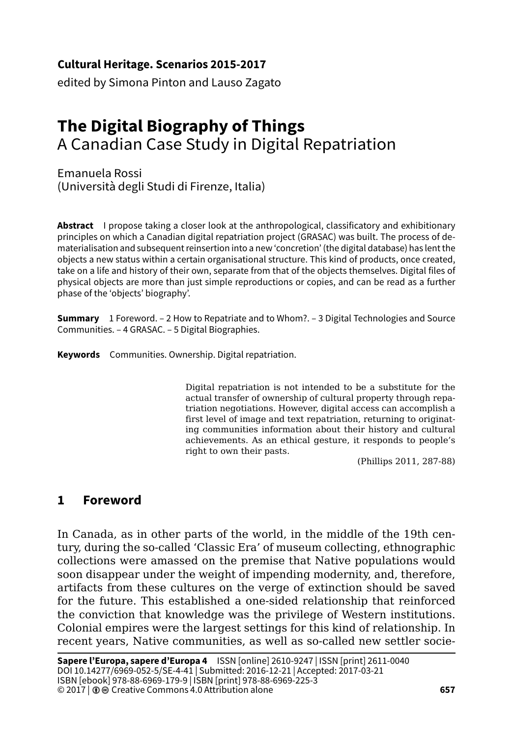### **Cultural Heritage. Scenarios 2015-2017**

edited by Simona Pinton and Lauso Zagato

# **The Digital Biography of Things**  A Canadian Case Study in Digital Repatriation

Emanuela Rossi (Università degli Studi di Firenze, Italia)

**Abstract** I propose taking a closer look at the anthropological, classificatory and exhibitionary principles on which a Canadian digital repatriation project (GRASAC) was built. The process of dematerialisation and subsequent reinsertion into a new 'concretion' (the digital database) has lent the objects a new status within a certain organisational structure. This kind of products, once created, take on a life and history of their own, separate from that of the objects themselves. Digital files of physical objects are more than just simple reproductions or copies, and can be read as a further phase of the 'objects' biography'.

**Summary** 1 Foreword. – 2 How to Repatriate and to Whom?. – 3 Digital Technologies and Source Communities. – 4 GRASAC. – 5 Digital Biographies.

**Keywords** Communities. Ownership. Digital repatriation.

Digital repatriation is not intended to be a substitute for the actual transfer of ownership of cultural property through repatriation negotiations. However, digital access can accomplish a first level of image and text repatriation, returning to originating communities information about their history and cultural achievements. As an ethical gesture, it responds to people's right to own their pasts.

(Phillips 2011, 287-88)

#### **1 Foreword**

In Canada, as in other parts of the world, in the middle of the 19th century, during the so-called 'Classic Era' of museum collecting, ethnographic collections were amassed on the premise that Native populations would soon disappear under the weight of impending modernity, and, therefore, artifacts from these cultures on the verge of extinction should be saved for the future. This established a one-sided relationship that reinforced the conviction that knowledge was the privilege of Western institutions. Colonial empires were the largest settings for this kind of relationship. In recent years, Native communities, as well as so-called new settler socie-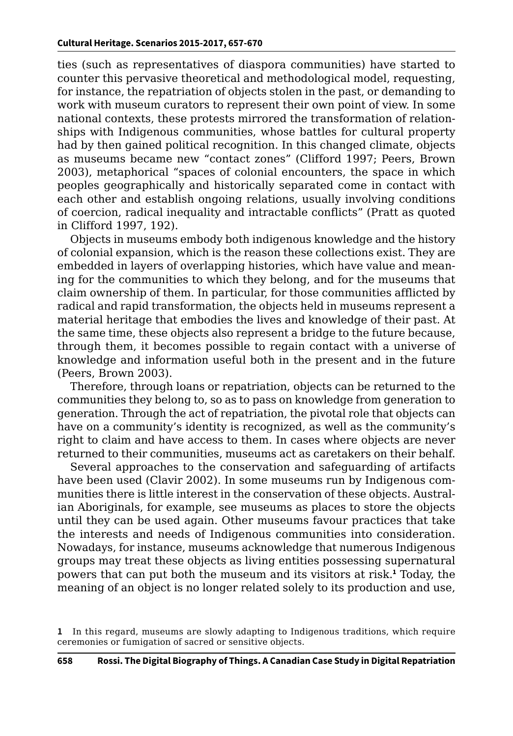ties (such as representatives of diaspora communities) have started to counter this pervasive theoretical and methodological model, requesting, for instance, the repatriation of objects stolen in the past, or demanding to work with museum curators to represent their own point of view. In some national contexts, these protests mirrored the transformation of relationships with Indigenous communities, whose battles for cultural property had by then gained political recognition. In this changed climate, objects as museums became new "contact zones" (Clifford 1997; Peers, Brown 2003), metaphorical "spaces of colonial encounters, the space in which peoples geographically and historically separated come in contact with each other and establish ongoing relations, usually involving conditions of coercion, radical inequality and intractable conflicts" (Pratt as quoted in Clifford 1997, 192).

Objects in museums embody both indigenous knowledge and the history of colonial expansion, which is the reason these collections exist. They are embedded in layers of overlapping histories, which have value and meaning for the communities to which they belong, and for the museums that claim ownership of them. In particular, for those communities afflicted by radical and rapid transformation, the objects held in museums represent a material heritage that embodies the lives and knowledge of their past. At the same time, these objects also represent a bridge to the future because, through them, it becomes possible to regain contact with a universe of knowledge and information useful both in the present and in the future (Peers, Brown 2003).

Therefore, through loans or repatriation, objects can be returned to the communities they belong to, so as to pass on knowledge from generation to generation. Through the act of repatriation, the pivotal role that objects can have on a community's identity is recognized, as well as the community's right to claim and have access to them. In cases where objects are never returned to their communities, museums act as caretakers on their behalf.

Several approaches to the conservation and safeguarding of artifacts have been used (Clavir 2002). In some museums run by Indigenous communities there is little interest in the conservation of these objects. Australian Aboriginals, for example, see museums as places to store the objects until they can be used again. Other museums favour practices that take the interests and needs of Indigenous communities into consideration. Nowadays, for instance, museums acknowledge that numerous Indigenous groups may treat these objects as living entities possessing supernatural powers that can put both the museum and its visitors at risk.**<sup>1</sup>** Today, the meaning of an object is no longer related solely to its production and use,

**<sup>1</sup>** In this regard, museums are slowly adapting to Indigenous traditions, which require ceremonies or fumigation of sacred or sensitive objects.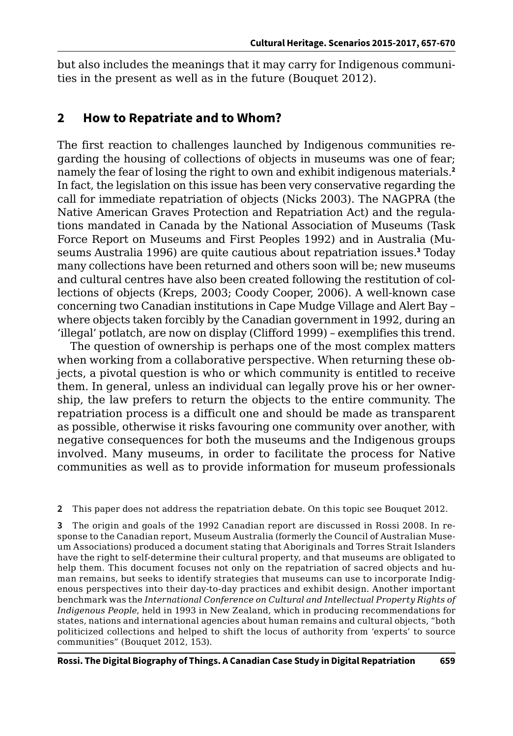but also includes the meanings that it may carry for Indigenous communities in the present as well as in the future (Bouquet 2012).

#### **2 How to Repatriate and to Whom?**

The first reaction to challenges launched by Indigenous communities regarding the housing of collections of objects in museums was one of fear; namely the fear of losing the right to own and exhibit indigenous materials.**<sup>2</sup>** In fact, the legislation on this issue has been very conservative regarding the call for immediate repatriation of objects (Nicks 2003). The NAGPRA (the Native American Graves Protection and Repatriation Act) and the regulations mandated in Canada by the National Association of Museums (Task Force Report on Museums and First Peoples 1992) and in Australia (Museums Australia 1996) are quite cautious about repatriation issues.**<sup>3</sup>** Today many collections have been returned and others soon will be; new museums and cultural centres have also been created following the restitution of collections of objects (Kreps, 2003; Coody Cooper, 2006). A well-known case concerning two Canadian institutions in Cape Mudge Village and Alert Bay – where objects taken forcibly by the Canadian government in 1992, during an 'illegal' potlatch, are now on display (Clifford 1999) – exemplifies this trend.

The question of ownership is perhaps one of the most complex matters when working from a collaborative perspective. When returning these objects, a pivotal question is who or which community is entitled to receive them. In general, unless an individual can legally prove his or her ownership, the law prefers to return the objects to the entire community. The repatriation process is a difficult one and should be made as transparent as possible, otherwise it risks favouring one community over another, with negative consequences for both the museums and the Indigenous groups involved. Many museums, in order to facilitate the process for Native communities as well as to provide information for museum professionals

**2** This paper does not address the repatriation debate. On this topic see Bouquet 2012.

**3** The origin and goals of the 1992 Canadian report are discussed in Rossi 2008. In response to the Canadian report, Museum Australia (formerly the Council of Australian Museum Associations) produced a document stating that Aboriginals and Torres Strait Islanders have the right to self-determine their cultural property, and that museums are obligated to help them. This document focuses not only on the repatriation of sacred objects and human remains, but seeks to identify strategies that museums can use to incorporate Indigenous perspectives into their day-to-day practices and exhibit design. Another important benchmark was the *International Conference on Cultural and Intellectual Property Rights of Indigenous People*, held in 1993 in New Zealand, which in producing recommendations for states, nations and international agencies about human remains and cultural objects, "both politicized collections and helped to shift the locus of authority from 'experts' to source communities" (Bouquet 2012, 153).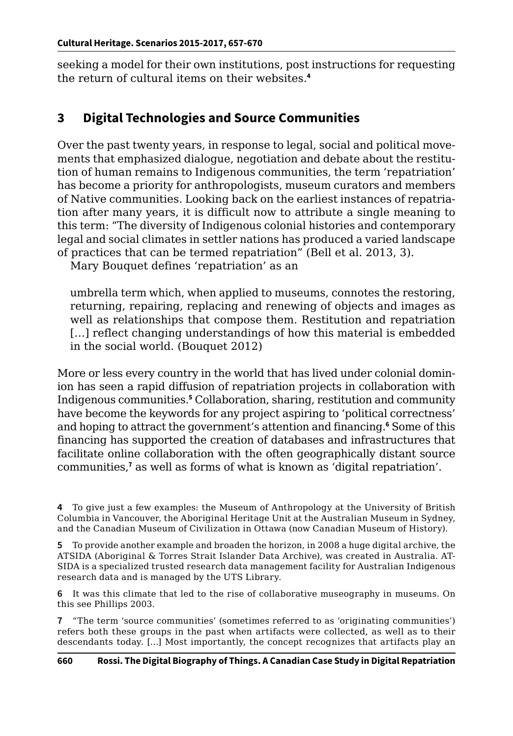seeking a model for their own institutions, post instructions for requesting the return of cultural items on their websites.**<sup>4</sup>**

# **3 Digital Technologies and Source Communities**

Over the past twenty years, in response to legal, social and political movements that emphasized dialogue, negotiation and debate about the restitution of human remains to Indigenous communities, the term 'repatriation' has become a priority for anthropologists, museum curators and members of Native communities. Looking back on the earliest instances of repatriation after many years, it is difficult now to attribute a single meaning to this term: "The diversity of Indigenous colonial histories and contemporary legal and social climates in settler nations has produced a varied landscape of practices that can be termed repatriation" (Bell et al. 2013, 3).

Mary Bouquet defines 'repatriation' as an

umbrella term which, when applied to museums, connotes the restoring, returning, repairing, replacing and renewing of objects and images as well as relationships that compose them. Restitution and repatriation [...] reflect changing understandings of how this material is embedded in the social world. (Bouquet 2012)

More or less every country in the world that has lived under colonial dominion has seen a rapid diffusion of repatriation projects in collaboration with Indigenous communities.**<sup>5</sup>** Collaboration, sharing, restitution and community have become the keywords for any project aspiring to 'political correctness' and hoping to attract the government's attention and financing.**<sup>6</sup>** Some of this financing has supported the creation of databases and infrastructures that facilitate online collaboration with the often geographically distant source communities,**<sup>7</sup>** as well as forms of what is known as 'digital repatriation'.

**5** To provide another example and broaden the horizon, in 2008 a huge digital archive, the ATSIDA (Aboriginal & Torres Strait Islander Data Archive), was created in Australia. AT-SIDA is a specialized trusted research data management facility for Australian Indigenous research data and is managed by the UTS Library.

**6** It was this climate that led to the rise of collaborative museography in museums. On this see Phillips 2003.

**7** "The term 'source communities' (sometimes referred to as 'originating communities') refers both these groups in the past when artifacts were collected, as well as to their descendants today. […] Most importantly, the concept recognizes that artifacts play an

**<sup>4</sup>** To give just a few examples: the Museum of Anthropology at the University of British Columbia in Vancouver, the Aboriginal Heritage Unit at the Australian Museum in Sydney, and the Canadian Museum of Civilization in Ottawa (now Canadian Museum of History).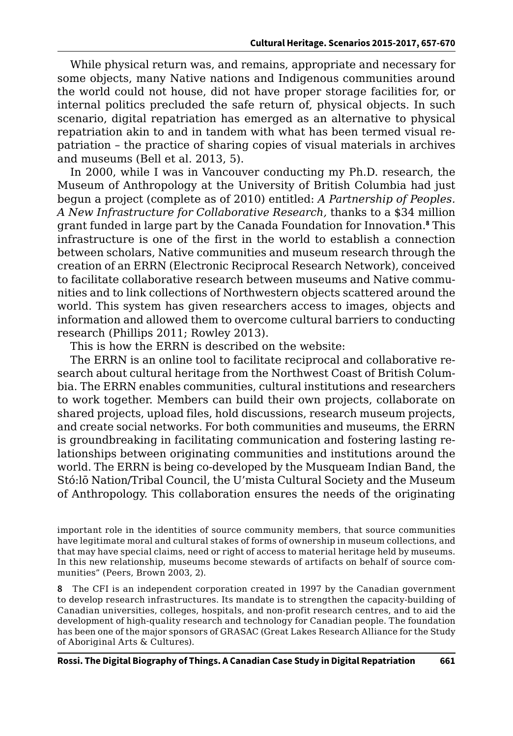While physical return was, and remains, appropriate and necessary for some objects, many Native nations and Indigenous communities around the world could not house, did not have proper storage facilities for, or internal politics precluded the safe return of, physical objects. In such scenario, digital repatriation has emerged as an alternative to physical repatriation akin to and in tandem with what has been termed visual repatriation – the practice of sharing copies of visual materials in archives and museums (Bell et al. 2013, 5).

In 2000, while I was in Vancouver conducting my Ph.D. research, the Museum of Anthropology at the University of British Columbia had just begun a project (complete as of 2010) entitled: *A Partnership of Peoples. A New Infrastructure for Collaborative Research,* thanks to a \$34 million grant funded in large part by the Canada Foundation for Innovation.**<sup>8</sup>** This infrastructure is one of the first in the world to establish a connection between scholars, Native communities and museum research through the creation of an ERRN (Electronic Reciprocal Research Network), conceived to facilitate collaborative research between museums and Native communities and to link collections of Northwestern objects scattered around the world. This system has given researchers access to images, objects and information and allowed them to overcome cultural barriers to conducting research (Phillips 2011; Rowley 2013).

This is how the ERRN is described on the website:

The ERRN is an online tool to facilitate reciprocal and collaborative research about cultural heritage from the Northwest Coast of British Columbia. The ERRN enables communities, cultural institutions and researchers to work together. Members can build their own projects, collaborate on shared projects, upload files, hold discussions, research museum projects, and create social networks. For both communities and museums, the ERRN is groundbreaking in facilitating communication and fostering lasting relationships between originating communities and institutions around the world. The ERRN is being co-developed by the Musqueam Indian Band, the Stó:lō Nation/Tribal Council, the U'mista Cultural Society and the Museum of Anthropology. This collaboration ensures the needs of the originating

important role in the identities of source community members, that source communities have legitimate moral and cultural stakes of forms of ownership in museum collections, and that may have special claims, need or right of access to material heritage held by museums. In this new relationship, museums become stewards of artifacts on behalf of source communities" (Peers, Brown 2003, 2).

**8** The CFI is an independent corporation created in 1997 by the Canadian government to develop research infrastructures. Its mandate is to strengthen the capacity-building of Canadian universities, colleges, hospitals, and non-profit research centres, and to aid the development of high-quality research and technology for Canadian people. The foundation has been one of the major sponsors of GRASAC (Great Lakes Research Alliance for the Study of Aboriginal Arts & Cultures).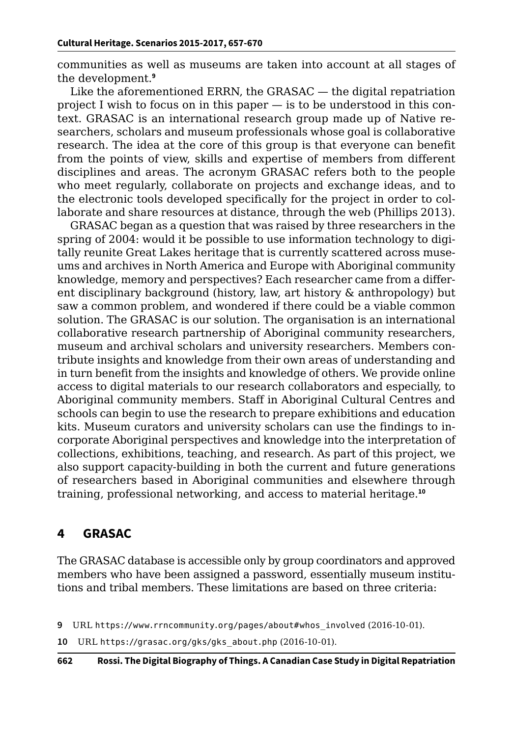communities as well as museums are taken into account at all stages of the development.**<sup>9</sup>**

Like the aforementioned ERRN, the GRASAC — the digital repatriation project I wish to focus on in this paper — is to be understood in this context. GRASAC is an international research group made up of Native researchers, scholars and museum professionals whose goal is collaborative research. The idea at the core of this group is that everyone can benefit from the points of view, skills and expertise of members from different disciplines and areas. The acronym GRASAC refers both to the people who meet regularly, collaborate on projects and exchange ideas, and to the electronic tools developed specifically for the project in order to collaborate and share resources at distance, through the web (Phillips 2013).

GRASAC began as a question that was raised by three researchers in the spring of 2004: would it be possible to use information technology to digitally reunite Great Lakes heritage that is currently scattered across museums and archives in North America and Europe with Aboriginal community knowledge, memory and perspectives? Each researcher came from a different disciplinary background (history, law, art history & anthropology) but saw a common problem, and wondered if there could be a viable common solution. The GRASAC is our solution. The organisation is an international collaborative research partnership of Aboriginal community researchers, museum and archival scholars and university researchers. Members contribute insights and knowledge from their own areas of understanding and in turn benefit from the insights and knowledge of others. We provide online access to digital materials to our research collaborators and especially, to Aboriginal community members. Staff in Aboriginal Cultural Centres and schools can begin to use the research to prepare exhibitions and education kits. Museum curators and university scholars can use the findings to incorporate Aboriginal perspectives and knowledge into the interpretation of collections, exhibitions, teaching, and research. As part of this project, we also support capacity-building in both the current and future generations of researchers based in Aboriginal communities and elsewhere through training, professional networking, and access to material heritage.**<sup>10</sup>**

## **4 GRASAC**

The GRASAC database is accessible only by group coordinators and approved members who have been assigned a password, essentially museum institutions and tribal members. These limitations are based on three criteria:

**<sup>9</sup>** URL [https://www.rrncommunity.org/pages/about#whos\\_involved](https://www.rrncommunity.org/pages/about#whos_involved) (2016-10-01).

**<sup>10</sup>** URL [https://grasac.org/gks/gks\\_about.php](https://grasac.org/gks/gks_about.php) (2016-10-01).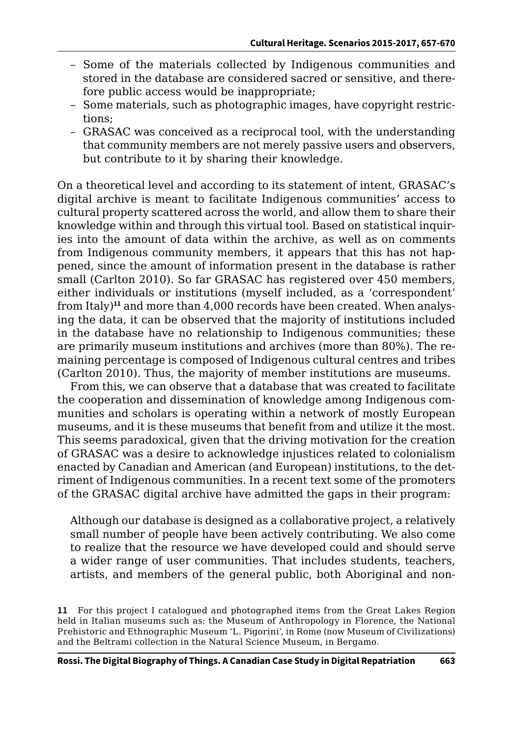- Some of the materials collected by Indigenous communities and stored in the database are considered sacred or sensitive, and therefore public access would be inappropriate;
- Some materials, such as photographic images, have copyright restrictions;
- GRASAC was conceived as a reciprocal tool, with the understanding that community members are not merely passive users and observers, but contribute to it by sharing their knowledge.

On a theoretical level and according to its statement of intent, GRASAC's digital archive is meant to facilitate Indigenous communities' access to cultural property scattered across the world, and allow them to share their knowledge within and through this virtual tool. Based on statistical inquiries into the amount of data within the archive, as well as on comments from Indigenous community members, it appears that this has not happened, since the amount of information present in the database is rather small (Carlton 2010). So far GRASAC has registered over 450 members, either individuals or institutions (myself included, as a 'correspondent' from Italy)**11** and more than 4,000 records have been created. When analysing the data, it can be observed that the majority of institutions included in the database have no relationship to Indigenous communities; these are primarily museum institutions and archives (more than 80%). The remaining percentage is composed of Indigenous cultural centres and tribes (Carlton 2010). Thus, the majority of member institutions are museums.

From this, we can observe that a database that was created to facilitate the cooperation and dissemination of knowledge among Indigenous communities and scholars is operating within a network of mostly European museums, and it is these museums that benefit from and utilize it the most. This seems paradoxical, given that the driving motivation for the creation of GRASAC was a desire to acknowledge injustices related to colonialism enacted by Canadian and American (and European) institutions, to the detriment of Indigenous communities. In a recent text some of the promoters of the GRASAC digital archive have admitted the gaps in their program:

Although our database is designed as a collaborative project, a relatively small number of people have been actively contributing. We also come to realize that the resource we have developed could and should serve a wider range of user communities. That includes students, teachers, artists, and members of the general public, both Aboriginal and non-

**<sup>11</sup>** For this project I catalogued and photographed items from the Great Lakes Region held in Italian museums such as: the Museum of Anthropology in Florence, the National Prehistoric and Ethnographic Museum 'L. Pigorini', in Rome (now Museum of Civilizations) and the Beltrami collection in the Natural Science Museum, in Bergamo.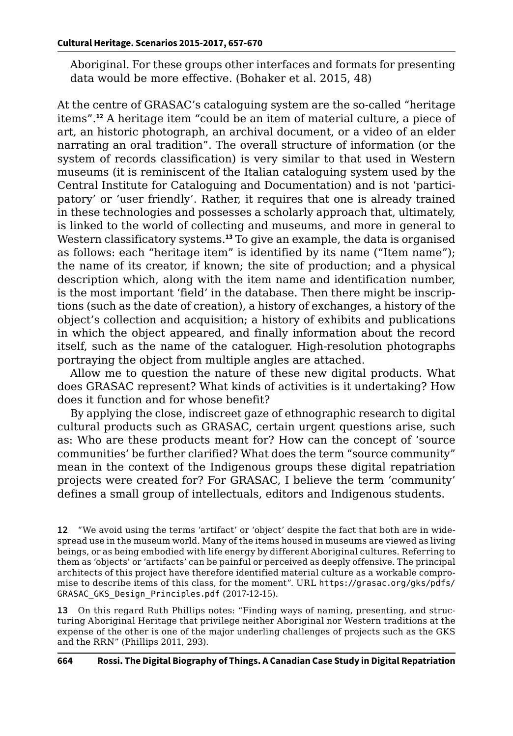Aboriginal. For these groups other interfaces and formats for presenting data would be more effective. (Bohaker et al. 2015, 48)

At the centre of GRASAC's cataloguing system are the so-called "heritage items".**<sup>12</sup>** A heritage item "could be an item of material culture, a piece of art, an historic photograph, an archival document, or a video of an elder narrating an oral tradition". The overall structure of information (or the system of records classification) is very similar to that used in Western museums (it is reminiscent of the Italian cataloguing system used by the Central Institute for Cataloguing and Documentation) and is not 'participatory' or 'user friendly'. Rather, it requires that one is already trained in these technologies and possesses a scholarly approach that, ultimately, is linked to the world of collecting and museums, and more in general to Western classificatory systems.**<sup>13</sup>** To give an example, the data is organised as follows: each "heritage item" is identified by its name ("Item name"); the name of its creator, if known; the site of production; and a physical description which, along with the item name and identification number, is the most important 'field' in the database. Then there might be inscriptions (such as the date of creation), a history of exchanges, a history of the object's collection and acquisition; a history of exhibits and publications in which the object appeared, and finally information about the record itself, such as the name of the cataloguer. High-resolution photographs portraying the object from multiple angles are attached.

Allow me to question the nature of these new digital products. What does GRASAC represent? What kinds of activities is it undertaking? How does it function and for whose benefit?

By applying the close, indiscreet gaze of ethnographic research to digital cultural products such as GRASAC, certain urgent questions arise, such as: Who are these products meant for? How can the concept of 'source communities' be further clarified? What does the term "source community" mean in the context of the Indigenous groups these digital repatriation projects were created for? For GRASAC, I believe the term 'community' defines a small group of intellectuals, editors and Indigenous students.

**13** On this regard Ruth Phillips notes: "Finding ways of naming, presenting, and structuring Aboriginal Heritage that privilege neither Aboriginal nor Western traditions at the expense of the other is one of the major underling challenges of projects such as the GKS and the RRN" (Phillips 2011, 293).

**<sup>12</sup>** "We avoid using the terms 'artifact' or 'object' despite the fact that both are in widespread use in the museum world. Many of the items housed in museums are viewed as living beings, or as being embodied with life energy by different Aboriginal cultures. Referring to them as 'objects' or 'artifacts' can be painful or perceived as deeply offensive. The principal architects of this project have therefore identified material culture as a workable compromise to describe items of this class, for the moment". URL [https://grasac.org/gks/pdfs/](https://grasac.org/gks/pdfs/GRASAC_GKS_Design_Principles.pdf) [GRASAC\\_GKS\\_Design\\_Principles.pdf](https://grasac.org/gks/pdfs/GRASAC_GKS_Design_Principles.pdf) (2017-12-15).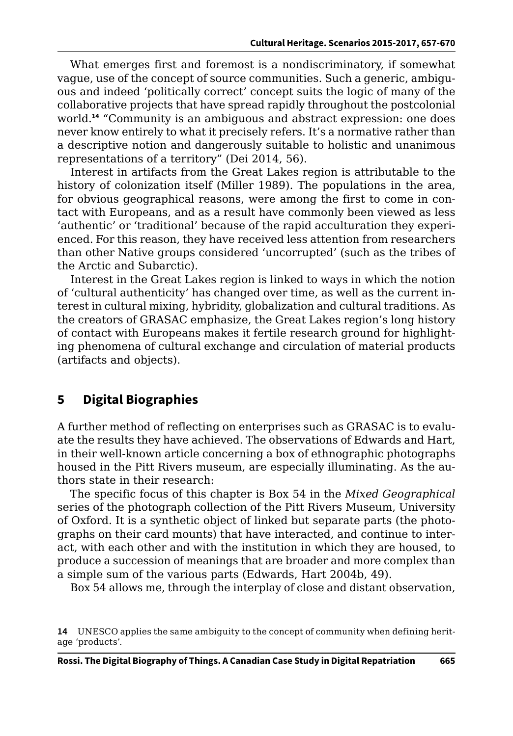What emerges first and foremost is a nondiscriminatory, if somewhat vague, use of the concept of source communities. Such a generic, ambiguous and indeed 'politically correct' concept suits the logic of many of the collaborative projects that have spread rapidly throughout the postcolonial world.**<sup>14</sup>** "Community is an ambiguous and abstract expression: one does never know entirely to what it precisely refers. It's a normative rather than a descriptive notion and dangerously suitable to holistic and unanimous representations of a territory" (Dei 2014, 56).

Interest in artifacts from the Great Lakes region is attributable to the history of colonization itself (Miller 1989). The populations in the area, for obvious geographical reasons, were among the first to come in contact with Europeans, and as a result have commonly been viewed as less 'authentic' or 'traditional' because of the rapid acculturation they experienced. For this reason, they have received less attention from researchers than other Native groups considered 'uncorrupted' (such as the tribes of the Arctic and Subarctic).

Interest in the Great Lakes region is linked to ways in which the notion of 'cultural authenticity' has changed over time, as well as the current interest in cultural mixing, hybridity, globalization and cultural traditions. As the creators of GRASAC emphasize, the Great Lakes region's long history of contact with Europeans makes it fertile research ground for highlighting phenomena of cultural exchange and circulation of material products (artifacts and objects).

# **5 Digital Biographies**

A further method of reflecting on enterprises such as GRASAC is to evaluate the results they have achieved. The observations of Edwards and Hart, in their well-known article concerning a box of ethnographic photographs housed in the Pitt Rivers museum, are especially illuminating. As the authors state in their research:

The specific focus of this chapter is Box 54 in the *Mixed Geographical*  series of the photograph collection of the Pitt Rivers Museum, University of Oxford. It is a synthetic object of linked but separate parts (the photographs on their card mounts) that have interacted, and continue to interact, with each other and with the institution in which they are housed, to produce a succession of meanings that are broader and more complex than a simple sum of the various parts (Edwards, Hart 2004b, 49).

Box 54 allows me, through the interplay of close and distant observation,

**<sup>14</sup>** UNESCO applies the same ambiguity to the concept of community when defining heritage 'products'.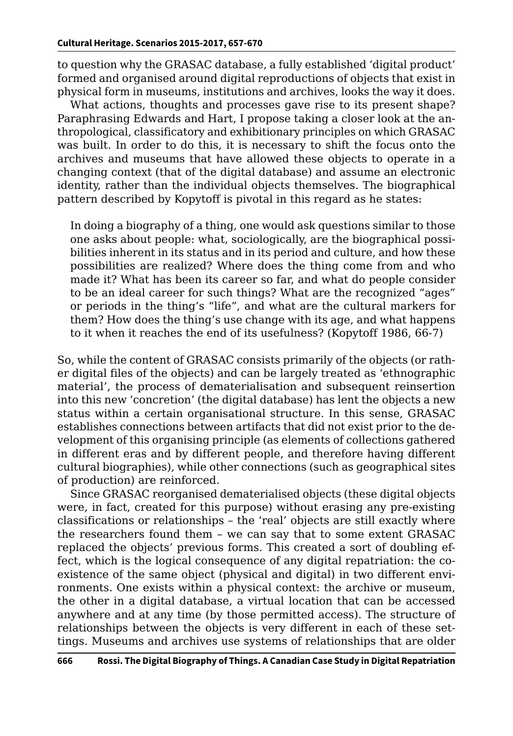to question why the GRASAC database, a fully established 'digital product' formed and organised around digital reproductions of objects that exist in physical form in museums, institutions and archives, looks the way it does.

What actions, thoughts and processes gave rise to its present shape? Paraphrasing Edwards and Hart, I propose taking a closer look at the anthropological, classificatory and exhibitionary principles on which GRASAC was built. In order to do this, it is necessary to shift the focus onto the archives and museums that have allowed these objects to operate in a changing context (that of the digital database) and assume an electronic identity, rather than the individual objects themselves. The biographical pattern described by Kopytoff is pivotal in this regard as he states:

In doing a biography of a thing, one would ask questions similar to those one asks about people: what, sociologically, are the biographical possibilities inherent in its status and in its period and culture, and how these possibilities are realized? Where does the thing come from and who made it? What has been its career so far, and what do people consider to be an ideal career for such things? What are the recognized "ages" or periods in the thing's "life", and what are the cultural markers for them? How does the thing's use change with its age, and what happens to it when it reaches the end of its usefulness? (Kopytoff 1986, 66-7)

So, while the content of GRASAC consists primarily of the objects (or rather digital files of the objects) and can be largely treated as 'ethnographic material', the process of dematerialisation and subsequent reinsertion into this new 'concretion' (the digital database) has lent the objects a new status within a certain organisational structure. In this sense, GRASAC establishes connections between artifacts that did not exist prior to the development of this organising principle (as elements of collections gathered in different eras and by different people, and therefore having different cultural biographies), while other connections (such as geographical sites of production) are reinforced.

Since GRASAC reorganised dematerialised objects (these digital objects were, in fact, created for this purpose) without erasing any pre-existing classifications or relationships – the 'real' objects are still exactly where the researchers found them – we can say that to some extent GRASAC replaced the objects' previous forms. This created a sort of doubling effect, which is the logical consequence of any digital repatriation: the coexistence of the same object (physical and digital) in two different environments. One exists within a physical context: the archive or museum, the other in a digital database, a virtual location that can be accessed anywhere and at any time (by those permitted access). The structure of relationships between the objects is very different in each of these settings. Museums and archives use systems of relationships that are older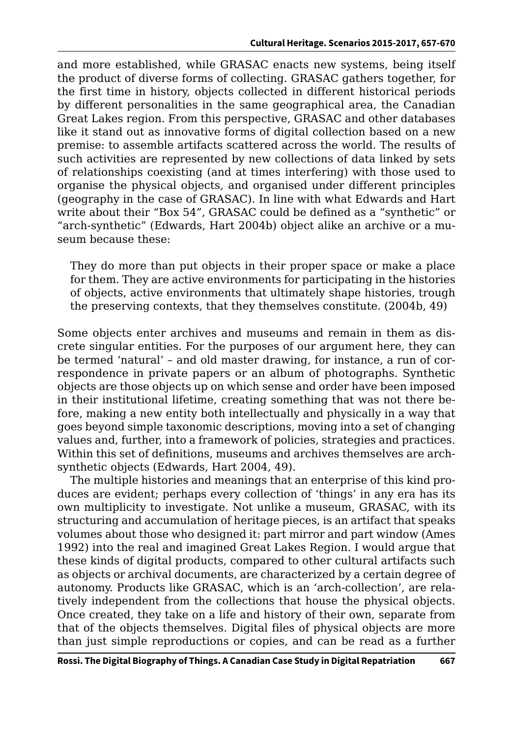and more established, while GRASAC enacts new systems, being itself the product of diverse forms of collecting. GRASAC gathers together, for the first time in history, objects collected in different historical periods by different personalities in the same geographical area, the Canadian Great Lakes region. From this perspective, GRASAC and other databases like it stand out as innovative forms of digital collection based on a new premise: to assemble artifacts scattered across the world. The results of such activities are represented by new collections of data linked by sets of relationships coexisting (and at times interfering) with those used to organise the physical objects, and organised under different principles (geography in the case of GRASAC). In line with what Edwards and Hart write about their "Box 54*"*, GRASAC could be defined as a "synthetic" or "arch-synthetic" (Edwards, Hart 2004b) object alike an archive or a museum because these:

They do more than put objects in their proper space or make a place for them. They are active environments for participating in the histories of objects, active environments that ultimately shape histories, trough the preserving contexts, that they themselves constitute. (2004b, 49)

Some objects enter archives and museums and remain in them as discrete singular entities. For the purposes of our argument here, they can be termed 'natural' – and old master drawing, for instance, a run of correspondence in private papers or an album of photographs. Synthetic objects are those objects up on which sense and order have been imposed in their institutional lifetime, creating something that was not there before, making a new entity both intellectually and physically in a way that goes beyond simple taxonomic descriptions, moving into a set of changing values and, further, into a framework of policies, strategies and practices. Within this set of definitions, museums and archives themselves are archsynthetic objects (Edwards, Hart 2004, 49).

The multiple histories and meanings that an enterprise of this kind produces are evident; perhaps every collection of 'things' in any era has its own multiplicity to investigate. Not unlike a museum, GRASAC, with its structuring and accumulation of heritage pieces, is an artifact that speaks volumes about those who designed it: part mirror and part window (Ames 1992) into the real and imagined Great Lakes Region. I would argue that these kinds of digital products, compared to other cultural artifacts such as objects or archival documents, are characterized by a certain degree of autonomy. Products like GRASAC, which is an 'arch-collection', are relatively independent from the collections that house the physical objects. Once created, they take on a life and history of their own, separate from that of the objects themselves. Digital files of physical objects are more than just simple reproductions or copies, and can be read as a further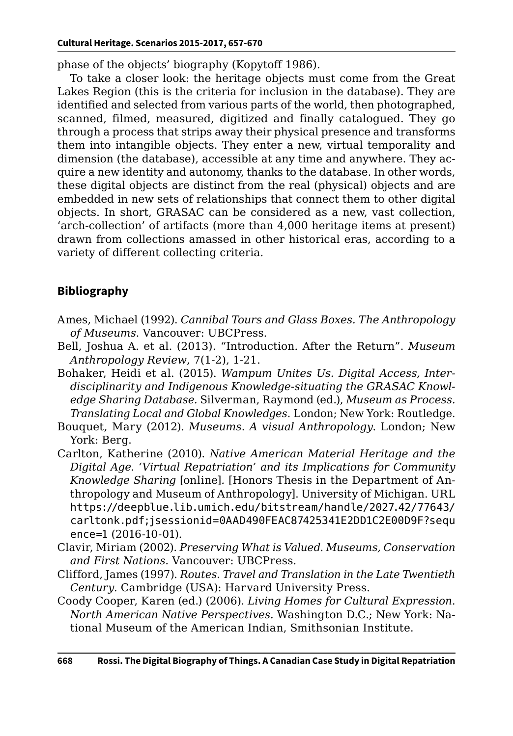phase of the objects' biography (Kopytoff 1986).

To take a closer look: the heritage objects must come from the Great Lakes Region (this is the criteria for inclusion in the database). They are identified and selected from various parts of the world, then photographed, scanned, filmed, measured, digitized and finally catalogued. They go through a process that strips away their physical presence and transforms them into intangible objects. They enter a new, virtual temporality and dimension (the database), accessible at any time and anywhere. They acquire a new identity and autonomy, thanks to the database. In other words, these digital objects are distinct from the real (physical) objects and are embedded in new sets of relationships that connect them to other digital objects. In short, GRASAC can be considered as a new, vast collection, 'arch-collection' of artifacts (more than 4,000 heritage items at present) drawn from collections amassed in other historical eras, according to a variety of different collecting criteria.

#### **Bibliography**

- Ames, Michael (1992). *Cannibal Tours and Glass Boxes. The Anthropology of Museums*. Vancouver: UBCPress.
- Bell, Joshua A. et al. (2013). "Introduction. After the Return". *Museum Anthropology Review*, 7(1-2), 1-21.
- Bohaker, Heidi et al. (2015). *Wampum Unites Us. Digital Access, Interdisciplinarity and Indigenous Knowledge-situating the GRASAC Knowledge Sharing Database.* Silverman, Raymond (ed.), *Museum as Process. Translating Local and Global Knowledges*. London; New York: Routledge.
- Bouquet, Mary (2012). *Museums. A visual Anthropology*. London; New York: Berg.
- Carlton, Katherine (2010). *Native American Material Heritage and the Digital Age. 'Virtual Repatriation' and its Implications for Community Knowledge Sharing* [online]*.* [Honors Thesis in the Department of Anthropology and Museum of Anthropology]. University of Michigan. URL [https://deepblue.lib.umich.edu/bitstream/handle/2027.42/77643/](https://deepblue.lib.umich.edu/bitstream/handle/2027.42/77643/carltonk.pdf;jsessionid=0AAD490FEAC874) [carltonk.pdf;jsessionid=0AAD490FEAC87425341E2DD1C2E00D9F?sequ](https://deepblue.lib.umich.edu/bitstream/handle/2027.42/77643/carltonk.pdf;jsessionid=0AAD490FEAC874) [ence=1](https://deepblue.lib.umich.edu/bitstream/handle/2027.42/77643/carltonk.pdf;jsessionid=0AAD490FEAC874) (2016-10-01).
- Clavir, Miriam (2002). *Preserving What is Valued. Museums, Conservation and First Nations*. Vancouver: UBCPress.
- Clifford, James (1997). *Routes. Travel and Translation in the Late Twentieth Century*. Cambridge (USA): Harvard University Press.
- Coody Cooper, Karen (ed.) (2006). *Living Homes for Cultural Expression*. *North American Native Perspectives.* Washington D.C.; New York: National Museum of the American Indian, Smithsonian Institute.